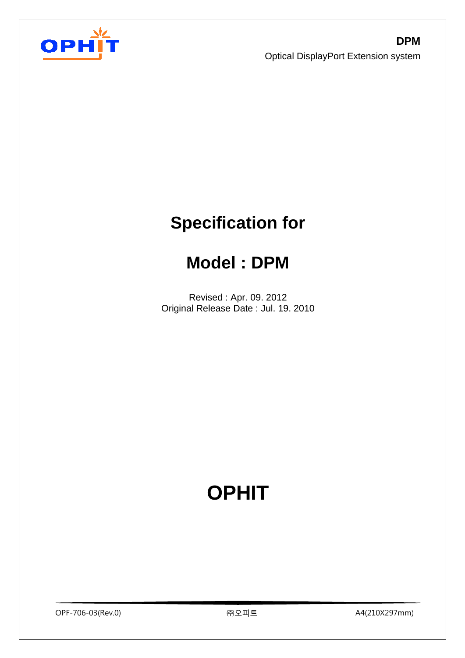

# **Specification for**

## **Model : DPM**

Revised : Apr. 09. 2012 Original Release Date : Jul. 19. 2010

# **OPHIT**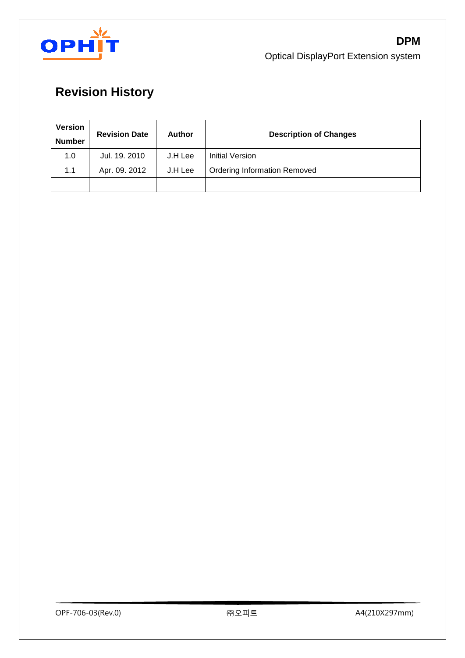

## **Revision History**

| <b>Version</b><br><b>Number</b> | <b>Revision Date</b> | <b>Author</b> | <b>Description of Changes</b>       |
|---------------------------------|----------------------|---------------|-------------------------------------|
| 1.0                             | Jul. 19, 2010        | J.H Lee       | <b>Initial Version</b>              |
| 1.1                             | Apr. 09. 2012        | J.H Lee       | <b>Ordering Information Removed</b> |
|                                 |                      |               |                                     |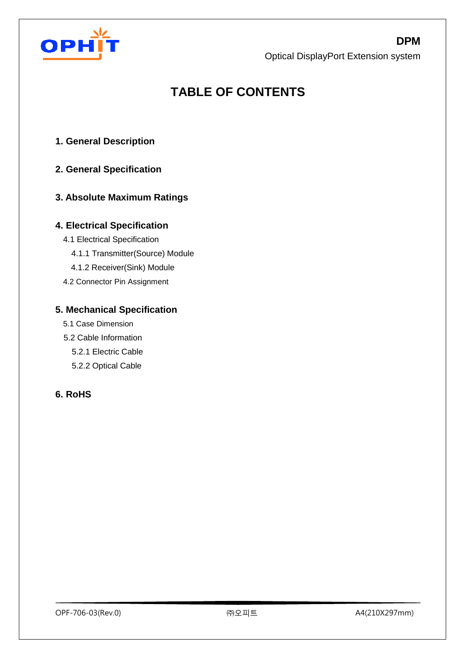

OPH

Optical DisplayPort Extension system

## **TABLE OF CONTENTS**

- **1. General Description**
- **2. General Specification**

#### **3. Absolute Maximum Ratings**

#### **4. Electrical Specification**

- 4.1 Electrical Specification
	- 4.1.1 Transmitter(Source) Module
	- 4.1.2 Receiver(Sink) Module
- 4.2 Connector Pin Assignment

#### **5. Mechanical Specification**

- 5.1 Case Dimension
- 5.2 Cable Information
	- 5.2.1 Electric Cable
	- 5.2.2 Optical Cable

#### **6. RoHS**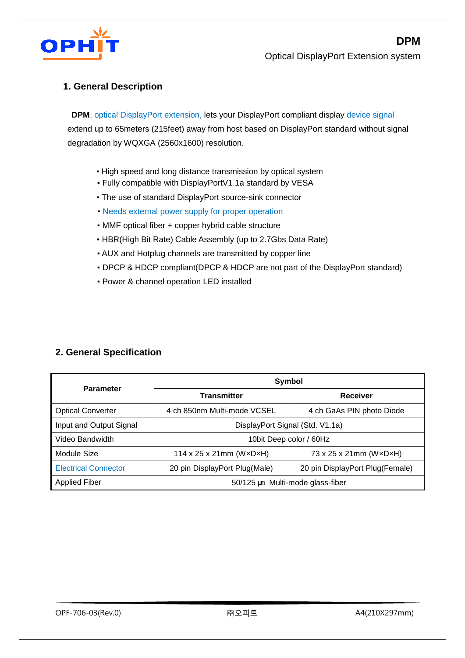

**DPM**

#### **1. General Description**

 **DPM**, optical DisplayPort extension, lets your DisplayPort compliant display device signal extend up to 65meters (215feet) away from host based on DisplayPort standard without signal degradation by WQXGA (2560x1600) resolution.

- **.** High speed and long distance transmission by optical system
- Fully compatible with DisplayPortV1.1a standard by VESA
- The use of standard DisplayPort source-sink connector
- Needs external power supply for proper operation
- MMF optical fiber + copper hybrid cable structure
- HBR(High Bit Rate) Cable Assembly (up to 2.7Gbs Data Rate)
- AUX and Hotplug channels are transmitted by copper line
- DPCP & HDCP compliant(DPCP & HDCP are not part of the DisplayPort standard)
- Power & channel operation LED installed

#### **2. General Specification**

|                             | <b>Symbol</b>                                                    |                           |  |  |
|-----------------------------|------------------------------------------------------------------|---------------------------|--|--|
| <b>Parameter</b>            | <b>Transmitter</b>                                               | Receiver                  |  |  |
| <b>Optical Converter</b>    | 4 ch 850nm Multi-mode VCSEL                                      | 4 ch GaAs PIN photo Diode |  |  |
| Input and Output Signal     | DisplayPort Signal (Std. V1.1a)                                  |                           |  |  |
| Video Bandwidth             | 10bit Deep color / 60Hz                                          |                           |  |  |
| Module Size                 | 114 x 25 x 21mm ( $W \times D \times H$ )                        | 73 x 25 x 21mm (WxDxH)    |  |  |
| <b>Electrical Connector</b> | 20 pin DisplayPort Plug(Female)<br>20 pin DisplayPort Plug(Male) |                           |  |  |
| Applied Fiber               | 50/125 µm Multi-mode glass-fiber                                 |                           |  |  |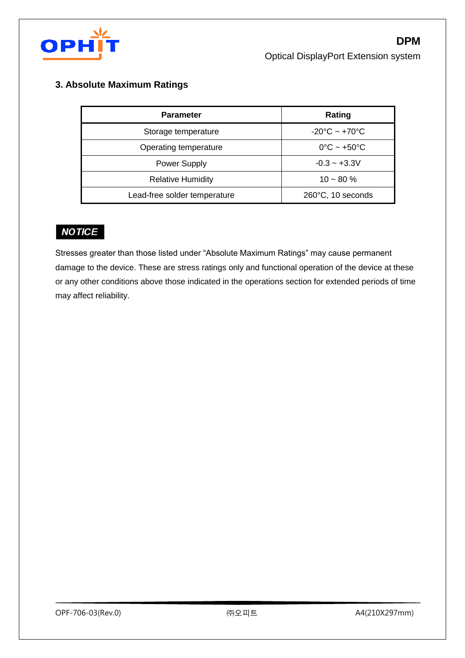

#### **3. Absolute Maximum Ratings**

| <b>Parameter</b>             | Rating                            |
|------------------------------|-----------------------------------|
| Storage temperature          | $-20^{\circ}$ C ~ $+70^{\circ}$ C |
| Operating temperature        | $0^{\circ}$ C ~ +50 $^{\circ}$ C  |
| <b>Power Supply</b>          | $-0.3 - +3.3V$                    |
| <b>Relative Humidity</b>     | $10 - 80 \%$                      |
| Lead-free solder temperature | 260°C, 10 seconds                 |

#### **NOTICE**

Stresses greater than those listed under "Absolute Maximum Ratings" may cause permanent damage to the device. These are stress ratings only and functional operation of the device at these or any other conditions above those indicated in the operations section for extended periods of time may affect reliability.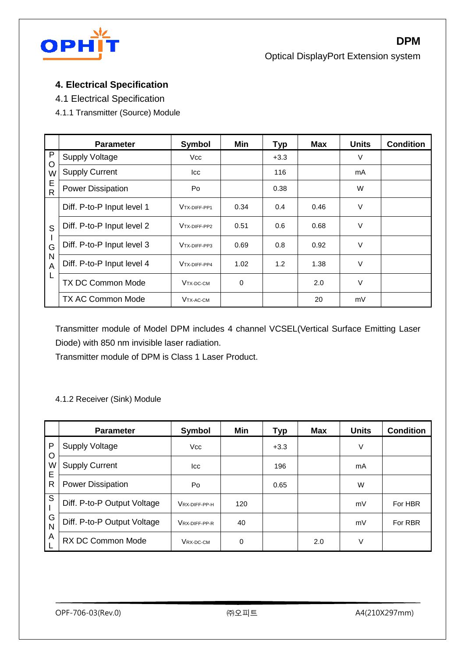

#### **4. Electrical Specification**

4.1 Electrical Specification

4.1.1 Transmitter (Source) Module

|                   | <b>Parameter</b>           | Symbol       | Min  | <b>Typ</b> | <b>Max</b> | <b>Units</b> | <b>Condition</b> |
|-------------------|----------------------------|--------------|------|------------|------------|--------------|------------------|
| $\mathsf{P}$<br>O | <b>Supply Voltage</b>      | <b>Vcc</b>   |      | $+3.3$     |            | V            |                  |
| W                 | <b>Supply Current</b>      | Icc          |      | 116        |            | mA           |                  |
| E<br>$\mathsf{R}$ | <b>Power Dissipation</b>   | Po           |      | 0.38       |            | W            |                  |
|                   | Diff. P-to-P Input level 1 | VTX-DIFF-PP1 | 0.34 | 0.4        | 0.46       | $\vee$       |                  |
| S                 | Diff. P-to-P Input level 2 | VTX-DIFF-PP2 | 0.51 | 0.6        | 0.68       | V            |                  |
| G                 | Diff. P-to-P Input level 3 | VTX-DIFF-PP3 | 0.69 | 0.8        | 0.92       | V            |                  |
| N<br>A            | Diff. P-to-P Input level 4 | VTX-DIFF-PP4 | 1.02 | 1.2        | 1.38       | V            |                  |
| L                 | <b>TX DC Common Mode</b>   | VTX-DC-CM    | 0    |            | 2.0        | V            |                  |
|                   | <b>TX AC Common Mode</b>   | VTX-AC-CM    |      |            | 20         | mV           |                  |

Transmitter module of Model DPM includes 4 channel VCSEL(Vertical Surface Emitting Laser Diode) with 850 nm invisible laser radiation.

Transmitter module of DPM is Class 1 Laser Product.

#### 4.1.2 Receiver (Sink) Module

|             | <b>Parameter</b>            | Symbol        | Min | <b>Typ</b> | <b>Max</b> | <b>Units</b> | <b>Condition</b> |
|-------------|-----------------------------|---------------|-----|------------|------------|--------------|------------------|
| P           | <b>Supply Voltage</b>       | <b>Vcc</b>    |     | $+3.3$     |            | V            |                  |
| O<br>W<br>Е | <b>Supply Current</b>       | lcc           |     | 196        |            | mA           |                  |
| R           | Power Dissipation           | Po            |     | 0.65       |            | W            |                  |
| S           | Diff. P-to-P Output Voltage | VRX-DIFF-PP-H | 120 |            |            | mV           | For HBR          |
| G<br>N      | Diff. P-to-P Output Voltage | VRX-DIFF-PP-R | 40  |            |            | mV           | For RBR          |
| Α           | <b>RX DC Common Mode</b>    | VRX-DC-CM     | 0   |            | 2.0        | V            |                  |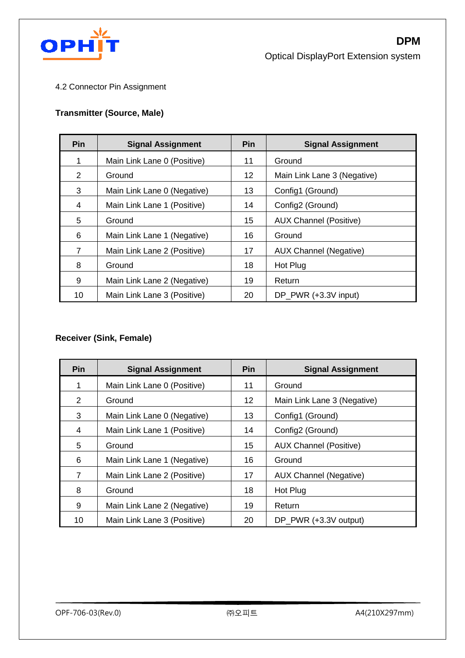

#### 4.2 Connector Pin Assignment

#### **Transmitter (Source, Male)**

| <b>Pin</b> | <b>Signal Assignment</b>    | <b>Pin</b> | <b>Signal Assignment</b>      |
|------------|-----------------------------|------------|-------------------------------|
| 1          | Main Link Lane 0 (Positive) | 11         | Ground                        |
| 2          | Ground                      | 12         | Main Link Lane 3 (Negative)   |
| 3          | Main Link Lane 0 (Negative) | 13         | Config1 (Ground)              |
| 4          | Main Link Lane 1 (Positive) | 14         | Config2 (Ground)              |
| 5          | Ground                      | 15         | <b>AUX Channel (Positive)</b> |
| 6          | Main Link Lane 1 (Negative) | 16         | Ground                        |
| 7          | Main Link Lane 2 (Positive) | 17         | <b>AUX Channel (Negative)</b> |
| 8          | Ground                      | 18         | Hot Plug                      |
| 9          | Main Link Lane 2 (Negative) | 19         | Return                        |
| 10         | Main Link Lane 3 (Positive) | 20         | DP_PWR (+3.3V input)          |

#### **Receiver (Sink, Female)**

| <b>Pin</b> | <b>Signal Assignment</b>    | <b>Pin</b> | <b>Signal Assignment</b>      |
|------------|-----------------------------|------------|-------------------------------|
| 1          | Main Link Lane 0 (Positive) | 11         | Ground                        |
| 2          | Ground                      | 12         | Main Link Lane 3 (Negative)   |
| 3          | Main Link Lane 0 (Negative) | 13         | Config1 (Ground)              |
| 4          | Main Link Lane 1 (Positive) | 14         | Config2 (Ground)              |
| 5          | Ground                      | 15         | <b>AUX Channel (Positive)</b> |
| 6          | Main Link Lane 1 (Negative) | 16         | Ground                        |
| 7          | Main Link Lane 2 (Positive) | 17         | <b>AUX Channel (Negative)</b> |
| 8          | Ground                      | 18         | Hot Plug                      |
| 9          | Main Link Lane 2 (Negative) | 19         | Return                        |
| 10         | Main Link Lane 3 (Positive) | 20         | DP PWR (+3.3V output)         |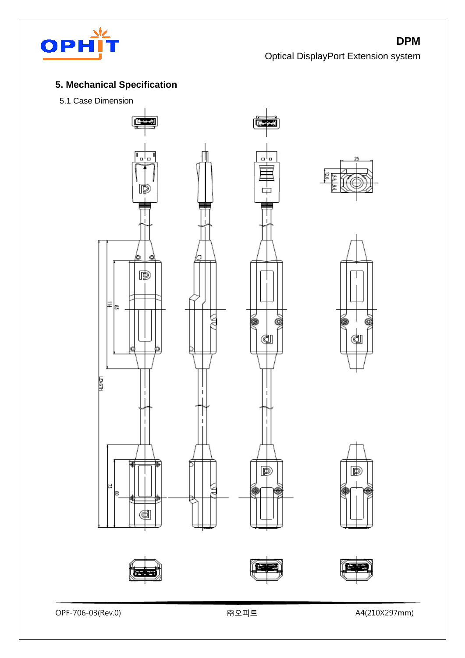

## **5. Mechanical Specification**

5.1 Case Dimension













OPF-706-03(Rev.0) ㈜오피트 A4(210X297mm)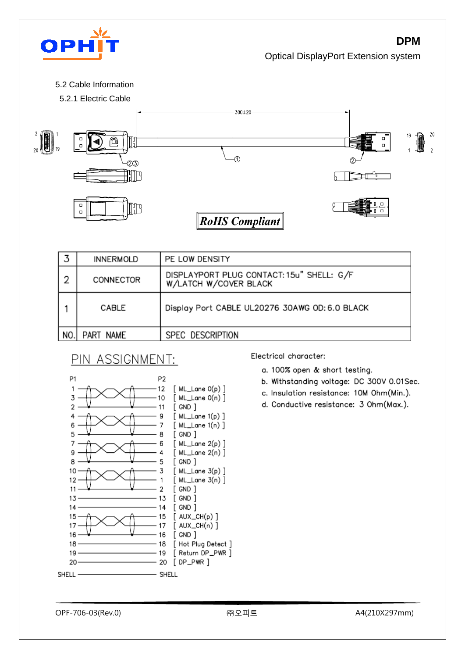

5.2 Cable Information



|     | <b>INNERMOLD</b> | PE LOW DENSITY                                                     |
|-----|------------------|--------------------------------------------------------------------|
| 2   | CONNECTOR        | DISPLAYPORT PLUG CONTACT: 15u" SHELL: G/F<br>W/LATCH W/COVER BLACK |
|     | CABLE            | Display Port CABLE UL20276 30AWG OD: 6.0 BLACK                     |
| NO. | PART NAME        | SPEC DESCRIPTION                                                   |

## PIN ASSIGNMENT:



Electrical character:

- a. 100% open & short testing.
- b. Withstanding voltage: DC 300V 0.01Sec.
- c. Insulation resistance: 10M Ohm(Min.).
- d. Conductive resistance: 3 Ohm(Max.).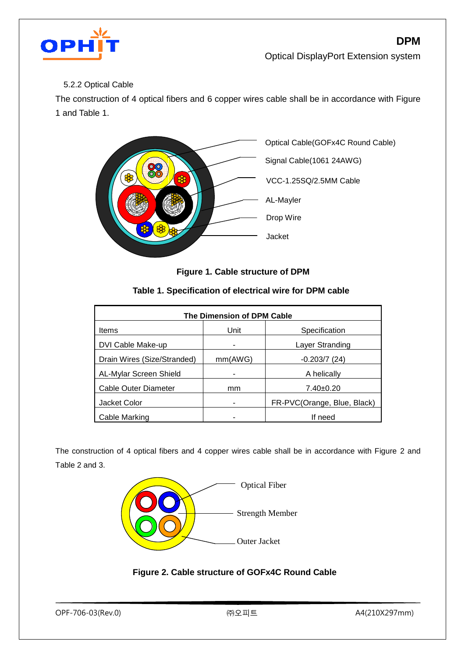

#### 5.2.2 Optical Cable

The construction of 4 optical fibers and 6 copper wires cable shall be in accordance with Figure 1 and Table 1.



 **Figure 1. Cable structure of DPM**

| Table 1. Specification of electrical wire for DPM cable |  |  |  |
|---------------------------------------------------------|--|--|--|
|---------------------------------------------------------|--|--|--|

| The Dimension of DPM Cable  |         |                             |  |  |  |  |
|-----------------------------|---------|-----------------------------|--|--|--|--|
| <b>Items</b>                | Unit    | Specification               |  |  |  |  |
| DVI Cable Make-up           |         | Layer Stranding             |  |  |  |  |
| Drain Wires (Size/Stranded) | mm(AWG) | $-0.203/7(24)$              |  |  |  |  |
| AL-Mylar Screen Shield      |         | A helically                 |  |  |  |  |
| Cable Outer Diameter        | mm      | $7.40 \pm 0.20$             |  |  |  |  |
| Jacket Color                |         | FR-PVC(Orange, Blue, Black) |  |  |  |  |
| Cable Marking               |         | If need                     |  |  |  |  |

The construction of 4 optical fibers and 4 copper wires cable shall be in accordance with Figure 2 and Table 2 and 3.



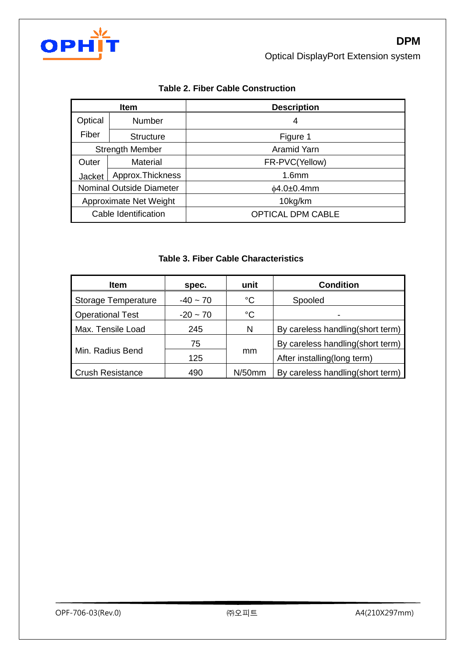

| <b>Item</b>              |                      | <b>Description</b>       |
|--------------------------|----------------------|--------------------------|
| Optical                  | Number               | 4                        |
| Fiber                    | <b>Structure</b>     | Figure 1                 |
| <b>Strength Member</b>   |                      | Aramid Yarn              |
| Outer                    | Material             | FR-PVC(Yellow)           |
| Jacket                   | Approx. Thickness    | 1.6 <sub>mm</sub>        |
| Nominal Outside Diameter |                      | $\phi$ 4.0±0.4mm         |
| Approximate Net Weight   |                      | 10kg/km                  |
|                          | Cable Identification | <b>OPTICAL DPM CABLE</b> |

#### **Table 2. Fiber Cable Construction**

#### **Table 3. Fiber Cable Characteristics**

| <b>Item</b>             | spec.                        | unit        | <b>Condition</b>                  |
|-------------------------|------------------------------|-------------|-----------------------------------|
| Storage Temperature     | $^{\circ}C$<br>$-40 \sim 70$ |             | Spooled                           |
| <b>Operational Test</b> | $-20 - 70$                   | $^{\circ}C$ |                                   |
| Max. Tensile Load       | 245                          | N           | By careless handling (short term) |
|                         | 75                           |             | By careless handling (short term) |
| Min. Radius Bend        | 125                          | mm          | After installing(long term)       |
| <b>Crush Resistance</b> | 490                          | $N/50$ mm   | By careless handling(short term)  |